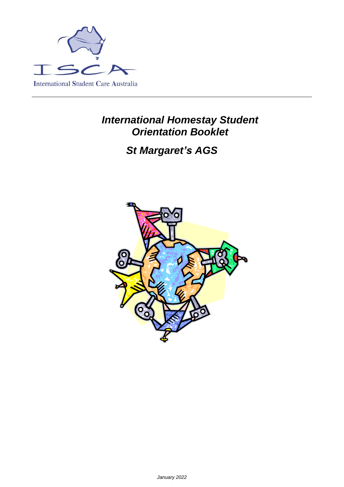

## *International Homestay Student Orientation Booklet*

# *St Margaret's AGS*

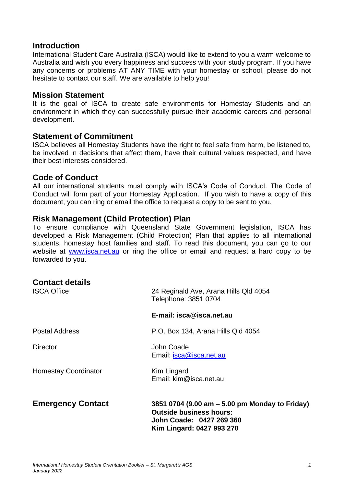#### **Introduction**

International Student Care Australia (ISCA) would like to extend to you a warm welcome to Australia and wish you every happiness and success with your study program. If you have any concerns or problems AT ANY TIME with your homestay or school, please do not hesitate to contact our staff. We are available to help you!

#### **Mission Statement**

It is the goal of ISCA to create safe environments for Homestay Students and an environment in which they can successfully pursue their academic careers and personal development.

#### **Statement of Commitment**

ISCA believes all Homestay Students have the right to feel safe from harm, be listened to, be involved in decisions that affect them, have their cultural values respected, and have their best interests considered.

#### **Code of Conduct**

All our international students must comply with ISCA's Code of Conduct. The Code of Conduct will form part of your Homestay Application. If you wish to have a copy of this document, you can ring or email the office to request a copy to be sent to you.

#### **Risk Management (Child Protection) Plan**

To ensure compliance with Queensland State Government legislation, ISCA has developed a Risk Management (Child Protection) Plan that applies to all international students, homestay host families and staff. To read this document, you can go to our website at [www.isca.net.au](http://www.isca.net.au/) or ring the office or email and request a hard copy to be forwarded to you.

| <b>Contact details</b><br><b>ISCA Office</b> | 24 Reginald Ave, Arana Hills Qld 4054<br>Telephone: 3851 0704                                                                             |
|----------------------------------------------|-------------------------------------------------------------------------------------------------------------------------------------------|
|                                              | E-mail: isca@isca.net.au                                                                                                                  |
| <b>Postal Address</b>                        | P.O. Box 134, Arana Hills Qld 4054                                                                                                        |
| <b>Director</b>                              | John Coade<br>Email: <i>isca@isca.net.au</i>                                                                                              |
| <b>Homestay Coordinator</b>                  | Kim Lingard<br>Email: kim@isca.net.au                                                                                                     |
| <b>Emergency Contact</b>                     | 3851 0704 (9.00 am – 5.00 pm Monday to Friday)<br><b>Outside business hours:</b><br>John Coade: 0427 269 360<br>Kim Lingard: 0427 993 270 |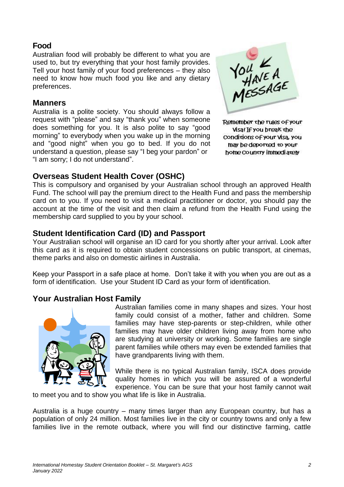## **Food**

Australian food will probably be different to what you are used to, but try everything that your host family provides. Tell your host family of your food preferences – they also need to know how much food you like and any dietary preferences.

#### **Manners**

Australia is a polite society. You should always follow a request with "please" and say "thank you" when someone does something for you. It is also polite to say "good morning" to everybody when you wake up in the morning and "good night" when you go to bed. If you do not understand a question, please say "I beg your pardon" or "I am sorry; I do not understand".



Remember the rules of your Visa! If you break the Conditions of your Visa, you may be deported to your home country immediately

## **Overseas Student Health Cover (OSHC)**

This is compulsory and organised by your Australian school through an approved Health Fund. The school will pay the premium direct to the Health Fund and pass the membership card on to you. If you need to visit a medical practitioner or doctor, you should pay the account at the time of the visit and then claim a refund from the Health Fund using the membership card supplied to you by your school.

## **Student Identification Card (ID) and Passport**

Your Australian school will organise an ID card for you shortly after your arrival. Look after this card as it is required to obtain student concessions on public transport, at cinemas, theme parks and also on domestic airlines in Australia.

Keep your Passport in a safe place at home. Don't take it with you when you are out as a form of identification. Use your Student ID Card as your form of identification.

## **Your Australian Host Family**



Australian families come in many shapes and sizes. Your host family could consist of a mother, father and children. Some families may have step-parents or step-children, while other families may have older children living away from home who are studying at university or working. Some families are single parent families while others may even be extended families that have grandparents living with them.

While there is no typical Australian family, ISCA does provide quality homes in which you will be assured of a wonderful experience. You can be sure that your host family cannot wait

to meet you and to show you what life is like in Australia.

Australia is a huge country – many times larger than any European country, but has a population of only 24 million. Most families live in the city or country towns and only a few families live in the remote outback, where you will find our distinctive farming, cattle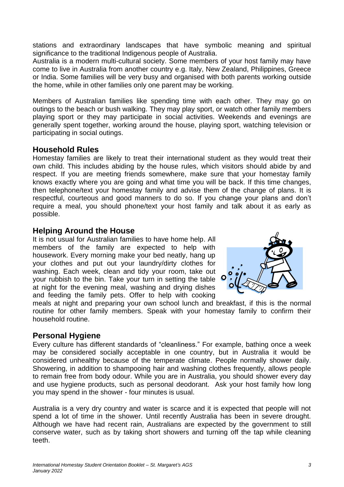stations and extraordinary landscapes that have symbolic meaning and spiritual significance to the traditional Indigenous people of Australia.

Australia is a modern multi-cultural society. Some members of your host family may have come to live in Australia from another country e.g. Italy, New Zealand, Philippines, Greece or India. Some families will be very busy and organised with both parents working outside the home, while in other families only one parent may be working.

Members of Australian families like spending time with each other. They may go on outings to the beach or bush walking. They may play sport, or watch other family members playing sport or they may participate in social activities. Weekends and evenings are generally spent together, working around the house, playing sport, watching television or participating in social outings.

## **Household Rules**

Homestay families are likely to treat their international student as they would treat their own child. This includes abiding by the house rules, which visitors should abide by and respect. If you are meeting friends somewhere, make sure that your homestay family knows exactly where you are going and what time you will be back. If this time changes, then telephone/text your homestay family and advise them of the change of plans. It is respectful, courteous and good manners to do so. If you change your plans and don't require a meal, you should phone/text your host family and talk about it as early as possible.

## **Helping Around the House**

It is not usual for Australian families to have home help. All members of the family are expected to help with housework. Every morning make your bed neatly, hang up your clothes and put out your laundry/dirty clothes for washing. Each week, clean and tidy your room, take out your rubbish to the bin. Take your turn in setting the table at night for the evening meal, washing and drying dishes and feeding the family pets. Offer to help with cooking



meals at night and preparing your own school lunch and breakfast, if this is the normal routine for other family members. Speak with your homestay family to confirm their household routine.

### **Personal Hygiene**

Every culture has different standards of "cleanliness." For example, bathing once a week may be considered socially acceptable in one country, but in Australia it would be considered unhealthy because of the temperate climate. People normally shower daily. Showering, in addition to shampooing hair and washing clothes frequently, allows people to remain free from body odour. While you are in Australia, you should shower every day and use hygiene products, such as personal deodorant. Ask your host family how long you may spend in the shower - four minutes is usual.

Australia is a very dry country and water is scarce and it is expected that people will not spend a lot of time in the shower. Until recently Australia has been in severe drought. Although we have had recent rain, Australians are expected by the government to still conserve water, such as by taking short showers and turning off the tap while cleaning teeth.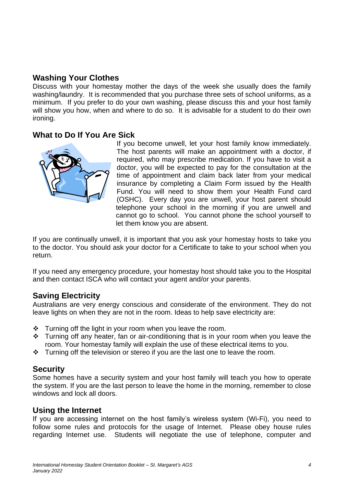## **Washing Your Clothes**

Discuss with your homestay mother the days of the week she usually does the family washing/laundry. It is recommended that you purchase three sets of school uniforms, as a minimum. If you prefer to do your own washing, please discuss this and your host family will show you how, when and where to do so. It is advisable for a student to do their own ironing.

#### **What to Do If You Are Sick**



If you become unwell, let your host family know immediately. The host parents will make an appointment with a doctor, if required, who may prescribe medication. If you have to visit a doctor, you will be expected to pay for the consultation at the time of appointment and claim back later from your medical insurance by completing a Claim Form issued by the Health Fund. You will need to show them your Health Fund card (OSHC). Every day you are unwell, your host parent should telephone your school in the morning if you are unwell and cannot go to school. You cannot phone the school yourself to let them know you are absent.

If you are continually unwell, it is important that you ask your homestay hosts to take you to the doctor. You should ask your doctor for a Certificate to take to your school when you return.

If you need any emergency procedure, your homestay host should take you to the Hospital and then contact ISCA who will contact your agent and/or your parents.

### **Saving Electricity**

Australians are very energy conscious and considerate of the environment. They do not leave lights on when they are not in the room. Ideas to help save electricity are:

- ❖ Turning off the light in your room when you leave the room.
- ❖ Turning off any heater, fan or air-conditioning that is in your room when you leave the room. Your homestay family will explain the use of these electrical items to you.
- ❖ Turning off the television or stereo if you are the last one to leave the room.

### **Security**

Some homes have a security system and your host family will teach you how to operate the system. If you are the last person to leave the home in the morning, remember to close windows and lock all doors.

### **Using the Internet**

If you are accessing internet on the host family's wireless system (Wi-Fi), you need to follow some rules and protocols for the usage of Internet. Please obey house rules regarding Internet use. Students will negotiate the use of telephone, computer and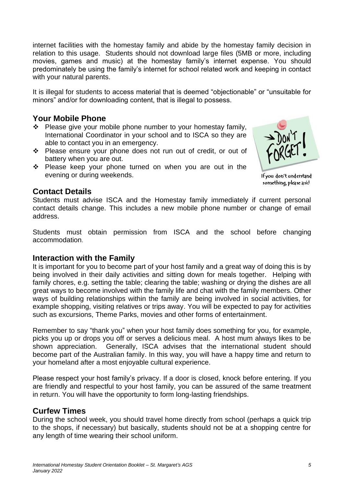internet facilities with the homestay family and abide by the homestay family decision in relation to this usage. Students should not download large files (5MB or more, including movies, games and music) at the homestay family's internet expense. You should predominately be using the family's internet for school related work and keeping in contact with your natural parents.

It is illegal for students to access material that is deemed "objectionable" or "unsuitable for minors" and/or for downloading content, that is illegal to possess.

## **Your Mobile Phone**

- ❖ Please give your mobile phone number to your homestay family, International Coordinator in your school and to ISCA so they are able to contact you in an emergency.
- ❖ Please ensure your phone does not run out of credit, or out of battery when you are out.
- ❖ Please keep your phone turned on when you are out in the evening or during weekends.



If you don't understand something, please ask!

#### **Contact Details**

Students must advise ISCA and the Homestay family immediately if current personal contact details change. This includes a new mobile phone number or change of email address.

Students must obtain permission from ISCA and the school before changing accommodation.

### **Interaction with the Family**

It is important for you to become part of your host family and a great way of doing this is by being involved in their daily activities and sitting down for meals together. Helping with family chores, e.g. setting the table; clearing the table; washing or drying the dishes are all great ways to become involved with the family life and chat with the family members. Other ways of building relationships within the family are being involved in social activities, for example shopping, visiting relatives or trips away. You will be expected to pay for activities such as excursions, Theme Parks, movies and other forms of entertainment.

Remember to say "thank you" when your host family does something for you, for example, picks you up or drops you off or serves a delicious meal. A host mum always likes to be shown appreciation. Generally, ISCA advises that the international student should become part of the Australian family. In this way, you will have a happy time and return to your homeland after a most enjoyable cultural experience.

Please respect your host family's privacy. If a door is closed, knock before entering. If you are friendly and respectful to your host family, you can be assured of the same treatment in return. You will have the opportunity to form long-lasting friendships.

### **Curfew Times**

During the school week, you should travel home directly from school (perhaps a quick trip to the shops, if necessary) but basically, students should not be at a shopping centre for any length of time wearing their school uniform.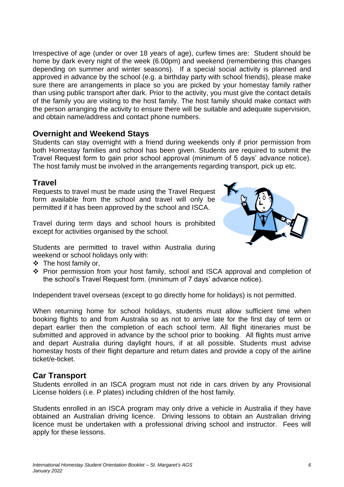Irrespective of age (under or over 18 years of age), curfew times are: Student should be home by dark every night of the week (6.00pm) and weekend (remembering this changes depending on summer and winter seasons). If a special social activity is planned and approved in advance by the school (e.g. a birthday party with school friends), please make sure there are arrangements in place so you are picked by your homestay family rather than using public transport after dark. Prior to the activity, you must give the contact details of the family you are visiting to the host family. The host family should make contact with the person arranging the activity to ensure there will be suitable and adequate supervision, and obtain name/address and contact phone numbers.

### **Overnight and Weekend Stays**

Students can stay overnight with a friend during weekends only if prior permission from both Homestay families and school has been given. Students are required to submit the Travel Request form to gain prior school approval (minimum of 5 days' advance notice). The host family must be involved in the arrangements regarding transport, pick up etc.

#### **Travel**

Requests to travel must be made using the Travel Request form available from the school and travel will only be permitted if it has been approved by the school and ISCA.

Travel during term days and school hours is prohibited except for activities organised by the school.



Students are permitted to travel within Australia during weekend or school holidays only with:

- ❖ The host family or,
- ❖ Prior permission from your host family, school and ISCA approval and completion of the school's Travel Request form. (minimum of 7 days' advance notice).

Independent travel overseas (except to go directly home for holidays) is not permitted.

When returning home for school holidays, students must allow sufficient time when booking flights to and from Australia so as not to arrive late for the first day of term or depart earlier then the completion of each school term. All flight itineraries must be submitted and approved in advance by the school prior to booking. All flights must arrive and depart Australia during daylight hours, if at all possible. Students must advise homestay hosts of their flight departure and return dates and provide a copy of the airline ticket/e-ticket.

#### **Car Transport**

Students enrolled in an ISCA program must not ride in cars driven by any Provisional License holders (i.e. P plates) including children of the host family.

Students enrolled in an ISCA program may only drive a vehicle in Australia if they have obtained an Australian driving licence. Driving lessons to obtain an Australian driving licence must be undertaken with a professional driving school and instructor. Fees will apply for these lessons.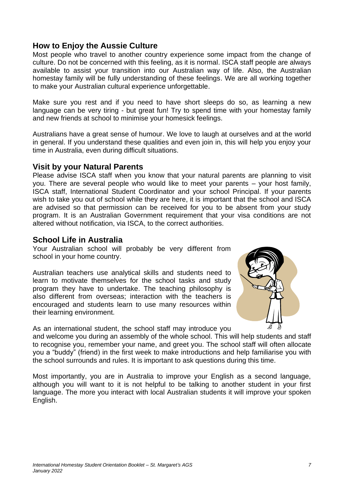## **How to Enjoy the Aussie Culture**

Most people who travel to another country experience some impact from the change of culture. Do not be concerned with this feeling, as it is normal. ISCA staff people are always available to assist your transition into our Australian way of life. Also, the Australian homestay family will be fully understanding of these feelings. We are all working together to make your Australian cultural experience unforgettable.

Make sure you rest and if you need to have short sleeps do so, as learning a new language can be very tiring - but great fun! Try to spend time with your homestay family and new friends at school to minimise your homesick feelings.

Australians have a great sense of humour. We love to laugh at ourselves and at the world in general. If you understand these qualities and even join in, this will help you enjoy your time in Australia, even during difficult situations.

#### **Visit by your Natural Parents**

Please advise ISCA staff when you know that your natural parents are planning to visit you. There are several people who would like to meet your parents – your host family, ISCA staff, International Student Coordinator and your school Principal. If your parents wish to take you out of school while they are here, it is important that the school and ISCA are advised so that permission can be received for you to be absent from your study program. It is an Australian Government requirement that your visa conditions are not altered without notification, via ISCA, to the correct authorities.

### **School Life in Australia**

Your Australian school will probably be very different from school in your home country.

Australian teachers use analytical skills and students need to learn to motivate themselves for the school tasks and study program they have to undertake. The teaching philosophy is also different from overseas; interaction with the teachers is encouraged and students learn to use many resources within their learning environment.

As an international student, the school staff may introduce you



and welcome you during an assembly of the whole school. This will help students and staff to recognise you, remember your name, and greet you. The school staff will often allocate you a "buddy" (friend) in the first week to make introductions and help familiarise you with the school surrounds and rules. It is important to ask questions during this time.

Most importantly, you are in Australia to improve your English as a second language, although you will want to it is not helpful to be talking to another student in your first language. The more you interact with local Australian students it will improve your spoken English.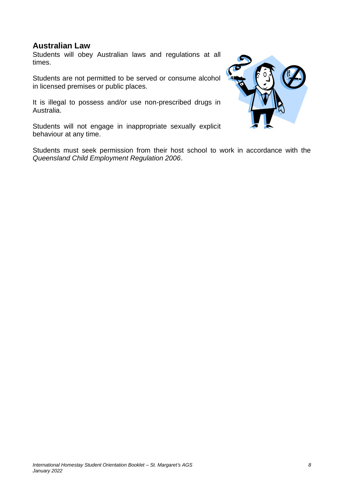## **Australian Law**

Students will obey Australian laws and regulations at all times.

Students are not permitted to be served or consume alcohol in licensed premises or public places.

It is illegal to possess and/or use non-prescribed drugs in Australia.

Students will not engage in inappropriate sexually explicit behaviour at any time.

Students must seek permission from their host school to work in accordance with the *Queensland Child Employment Regulation 2006*.